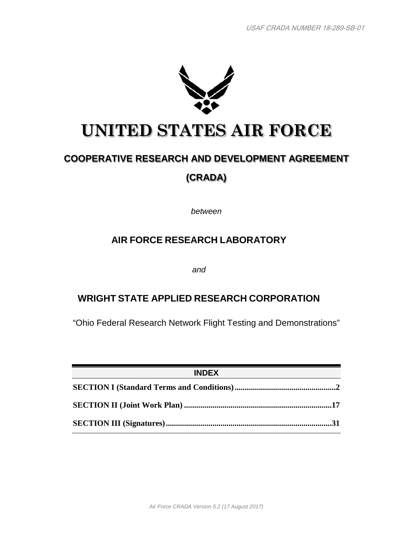

# **UNITED STATES AIR FORCE**

## **COOPERATIVE RESEARCH AND DEVELOPMENT AGREEMENT (CRADA)**

*between*

## **AIR FORCE RESEARCH LABORATORY**

*and*

## **WRIGHT STATE APPLIED RESEARCH CORPORATION**

"Ohio Federal Research Network Flight Testing and Demonstrations"

| <b>INDEX</b> |  |
|--------------|--|
|              |  |
|              |  |
|              |  |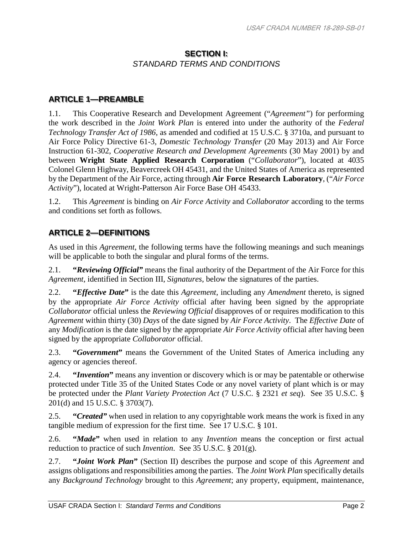#### **SECTION I:** *STANDARD TERMS AND CONDITIONS*

#### **ARTICLE 1—PREAMBLE**

1.1. This Cooperative Research and Development Agreement ("*Agreement"*) for performing the work described in the *Joint Work Plan* is entered into under the authority of the *Federal Technology Transfer Act of 1986*, as amended and codified at 15 U.S.C. § 3710a, and pursuant to Air Force Policy Directive 61-3, *Domestic Technology Transfer* (20 May 2013) and Air Force Instruction 61-302, *Cooperative Research and Development Agreements* (30 May 2001) by and between **Wright State Applied Research Corporation** ("*Collaborator*"), located at 4035 Colonel Glenn Highway, Beavercreek OH 45431, and the United States of America as represented by the Department of the Air Force, acting through **Air Force Research Laboratory**, ("*Air Force Activity*"), located at Wright-Patterson Air Force Base OH 45433.

1.2. This *Agreement* is binding on *Air Force Activity* and *Collaborator* according to the terms and conditions set forth as follows.

#### **ARTICLE 2—DEFINITIONS**

As used in this *Agreement*, the following terms have the following meanings and such meanings will be applicable to both the singular and plural forms of the terms.

2.1. **"***Reviewing Official"* means the final authority of the Department of the Air Force for this *Agreement*, identified in Section III, *Signatures*, below the signatures of the parties.

2.2. **"***Effective Date***"** is the date this *Agreement*, including any *Amendment* thereto, is signed by the appropriate *Air Force Activity* official after having been signed by the appropriate *Collaborator* official unless the *Reviewing Official* disapproves of or requires modification to this *Agreement* within thirty (30) *Days* of the date signed by *Air Force Activity*. The *Effective Date* of any *Modification* is the date signed by the appropriate *Air Force Activity* official after having been signed by the appropriate *Collaborator* official.

2.3. **"***Government***"** means the Government of the United States of America including any agency or agencies thereof.

2.4. **"***Invention***"** means any invention or discovery which is or may be patentable or otherwise protected under Title 35 of the United States Code or any novel variety of plant which is or may be protected under the *Plant Variety Protection Act* (7 U.S.C. § 2321 *et seq*). See 35 U.S.C. § 201(d) and 15 U.S.C. § 3703(7).

2.5. **"***Created"* when used in relation to any copyrightable work means the work is fixed in any tangible medium of expression for the first time. See 17 U.S.C. § 101.

2.6. **"***Made***"** when used in relation to any *Invention* means the conception or first actual reduction to practice of such *Invention*. See 35 U.S.C. § 201(g).

2.7. **"***Joint Work Plan***"** (Section II) describes the purpose and scope of this *Agreement* and assigns obligations and responsibilities among the parties. The *Joint Work Plan* specifically details any *Background Technology* brought to this *Agreement*; any property, equipment, maintenance,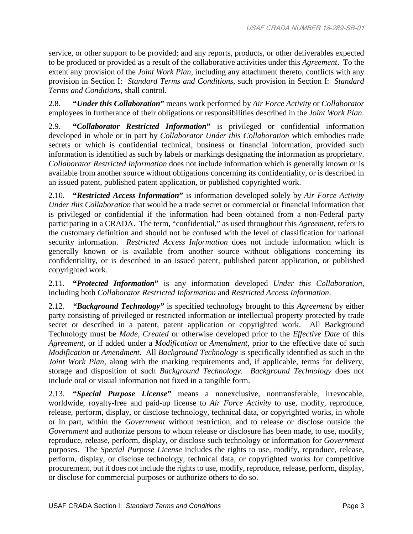service, or other support to be provided; and any reports, products, or other deliverables expected to be produced or provided as a result of the collaborative activities under this *Agreement*. To the extent any provision of the *Joint Work Plan*, including any attachment thereto, conflicts with any provision in Section I: *Standard Terms and Conditions*, such provision in Section I: *Standard Terms and Conditions*, shall control.

2.8. **"***Under this Collaboration***"** means work performed by *Air Force Activity* or *Collaborator* employees in furtherance of their obligations or responsibilities described in the *Joint Work Plan*.

2.9. **"***Collaborator Restricted Information***"** is privileged or confidential information developed in whole or in part by *Collaborator Under this Collaboration* which embodies trade secrets or which is confidential technical, business or financial information, provided such information is identified as such by labels or markings designating the information as proprietary. *Collaborator Restricted Information* does not include information which is generally known or is available from another source without obligations concerning its confidentiality, or is described in an issued patent, published patent application, or published copyrighted work.

2.10. **"***Restricted Access Information***"** is information developed solely by *Air Force Activity Under this Collaboration* that would be a trade secret or commercial or financial information that is privileged or confidential if the information had been obtained from a non-Federal party participating in a CRADA. The term, "confidential," as used throughout this *Agreement*, refers to the customary definition and should not be confused with the level of classification for national security information. *Restricted Access Information* does not include information which is generally known or is available from another source without obligations concerning its confidentiality, or is described in an issued patent, published patent application, or published copyrighted work.

2.11. **"***Protected Information***"** is any information developed *Under this Collaboration*, including both *Collaborator Restricted Information* and *Restricted Access Information*.

2.12. *"Background Technology"* is specified technology brought to this *Agreement* by either party consisting of privileged or restricted information or intellectual property protected by trade secret or described in a patent, patent application or copyrighted work. All Background Technology must be *Made*, *Created* or otherwise developed prior to the *Effective Date* of this *Agreement*, or if added under a *Modification* or *Amendment*, prior to the effective date of such *Modification* or *Amendment*. All *Background Technology* is specifically identified as such in the *Joint Work Plan*, along with the marking requirements and, if applicable, terms for delivery, storage and disposition of such *Background Technology*. *Background Technology* does not include oral or visual information not fixed in a tangible form.

2.13. **"***Special Purpose License***"** means a nonexclusive, nontransferable, irrevocable, worldwide, royalty-free and paid-up license to *Air Force Activity* to use, modify, reproduce, release, perform, display, or disclose technology, technical data, or copyrighted works, in whole or in part, within the *Government* without restriction, and to release or disclose outside the *Government* and authorize persons to whom release or disclosure has been made, to use, modify, reproduce, release, perform, display, or disclose such technology or information for *Government* purposes. The *Special Purpose License* includes the rights to use, modify, reproduce, release, perform, display, or disclose technology, technical data, or copyrighted works for competitive procurement, but it does not include the rights to use, modify, reproduce, release, perform, display, or disclose for commercial purposes or authorize others to do so.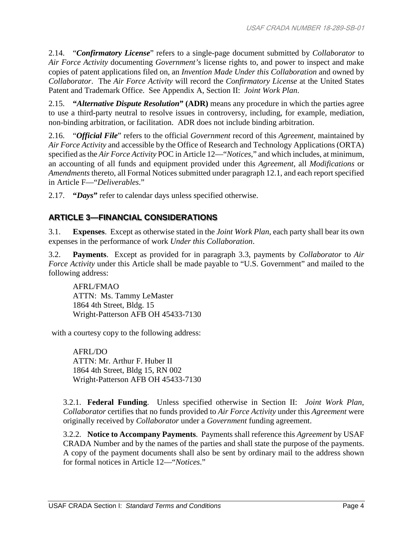2.14. "*Confirmatory License*" refers to a single-page document submitted by *Collaborator* to *Air Force Activity* documenting *Government's* license rights to, and power to inspect and make copies of patent applications filed on, an *Invention Made Under this Collaboration* and owned by *Collaborator*. The *Air Force Activity* will record the *Confirmatory License* at the United States Patent and Trademark Office. See Appendix A, Section II: *Joint Work Plan*.

2.15. **"***Alternative Dispute Resolution***" (ADR)** means any procedure in which the parties agree to use a third-party neutral to resolve issues in controversy, including, for example, mediation, non-binding arbitration, or facilitation. ADR does not include binding arbitration.

2.16. "*Official File*" refers to the official *Government* record of this *Agreement*, maintained by *Air Force Activity* and accessible by the Office of Research and Technology Applications (ORTA) specified as the *Air Force Activity* POC in Article 12—"*Notices*," and which includes, at minimum, an accounting of all funds and equipment provided under this *Agreement*, all *Modifications* or *Amendments* thereto, all Formal Notices submitted under paragraph 12.1, and each report specified in Article F—"*Deliverables*."

2.17. **"***Days***"** refer to calendar days unless specified otherwise.

## **ARTICLE 3—FINANCIAL CONSIDERATIONS**

3.1. **Expenses**. Except as otherwise stated in the *Joint Work Plan*, each party shall bear its own expenses in the performance of work *Under this Collaboration*.

3.2. **Payments**. Except as provided for in paragraph 3.3, payments by *Collaborator* to *Air Force Activity* under this Article shall be made payable to "U.S. Government" and mailed to the following address:

AFRL/FMAO ATTN: Ms. Tammy LeMaster 1864 4th Street, Bldg. 15 Wright-Patterson AFB OH 45433-7130

with a courtesy copy to the following address:

AFRL/DO ATTN: Mr. Arthur F. Huber II 1864 4th Street, Bldg 15, RN 002 Wright-Patterson AFB OH 45433-7130

3.2.1. **Federal Funding**. Unless specified otherwise in Section II: *Joint Work Plan*, *Collaborator* certifies that no funds provided to *Air Force Activity* under this *Agreement* were originally received by *Collaborator* under a *Government* funding agreement.

3.2.2. **Notice to Accompany Payments**. Payments shall reference this *Agreement* by USAF CRADA Number and by the names of the parties and shall state the purpose of the payments. A copy of the payment documents shall also be sent by ordinary mail to the address shown for formal notices in Article 12—"*Notices*."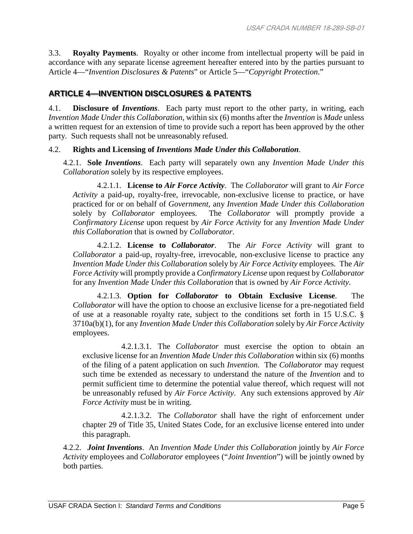3.3. **Royalty Payments**. Royalty or other income from intellectual property will be paid in accordance with any separate license agreement hereafter entered into by the parties pursuant to Article 4—"*Invention Disclosures & Patents*" or Article 5—"*Copyright Protection*."

#### **ARTICLE 4—INVENTION DISCLOSURES & PATENTS**

4.1. **Disclosure of** *Inventions*. Each party must report to the other party, in writing, each *Invention Made Under this Collaboration*, within six (6) months after the *Invention* is *Made* unless a written request for an extension of time to provide such a report has been approved by the other party. Such requests shall not be unreasonably refused.

#### 4.2. **Rights and Licensing of** *Inventions Made Under this Collaboration*.

4.2.1. **Sole** *Inventions*. Each party will separately own any *Invention Made Under this Collaboration* solely by its respective employees.

4.2.1.1. **License to** *Air Force Activity*. The *Collaborator* will grant to *Air Force Activity* a paid-up, royalty-free, irrevocable, non-exclusive license to practice, or have practiced for or on behalf of *Government*, any *Invention Made Under this Collaboration* solely by *Collaborator* employees. The *Collaborator* will promptly provide a *Confirmatory License* upon request by *Air Force Activity* for any *Invention Made Under this Collaboration* that is owned by *Collaborator*.

4.2.1.2. **License to** *Collaborator*. The *Air Force Activity* will grant to *Collaborator* a paid-up, royalty-free, irrevocable, non-exclusive license to practice any *Invention Made Under this Collaboration* solely by *Air Force Activity* employees. The *Air Force Activity* will promptly provide a *Confirmatory License* upon request by *Collaborator* for any *Invention Made Under this Collaboration* that is owned by *Air Force Activity*.

4.2.1.3. **Option for** *Collaborator* **to Obtain Exclusive License**. The *Collaborator* will have the option to choose an exclusive license for a pre-negotiated field of use at a reasonable royalty rate, subject to the conditions set forth in 15 U.S.C. § 3710a(b)(1), for any *Invention Made Under this Collaboration* solely by *Air Force Activity* employees.

4.2.1.3.1. The *Collaborator* must exercise the option to obtain an exclusive license for an *Invention Made Under this Collaboration* within six (6) months of the filing of a patent application on such *Invention*. The *Collaborator* may request such time be extended as necessary to understand the nature of the *Invention* and to permit sufficient time to determine the potential value thereof, which request will not be unreasonably refused by *Air Force Activity*. Any such extensions approved by *Air Force Activity* must be in writing.

4.2.1.3.2. The *Collaborator* shall have the right of enforcement under chapter 29 of Title 35, United States Code, for an exclusive license entered into under this paragraph.

4.2.2. *Joint Inventions*. An *Invention Made Under this Collaboration* jointly by *Air Force Activity* employees and *Collaborator* employees ("*Joint Invention*") will be jointly owned by both parties.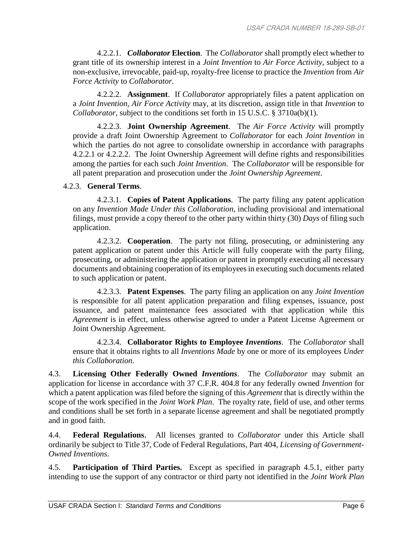4.2.2.1. *Collaborator* **Election**. The *Collaborator* shall promptly elect whether to grant title of its ownership interest in a *Joint Invention* to *Air Force Activity*, subject to a non-exclusive, irrevocable, paid-up, royalty-free license to practice the *Invention* from *Air Force Activity* to *Collaborator*.

4.2.2.2. **Assignment**. If *Collaborator* appropriately files a patent application on a *Joint Invention*, *Air Force Activity* may, at its discretion, assign title in that *Invention* to *Collaborator*, subject to the conditions set forth in 15 U.S.C. § 3710a(b)(1).

4.2.2.3. **Joint Ownership Agreement**. The *Air Force Activity* will promptly provide a draft Joint Ownership Agreement to *Collaborator* for each *Joint Invention* in which the parties do not agree to consolidate ownership in accordance with paragraphs 4.2.2.1 or 4.2.2.2. The Joint Ownership Agreement will define rights and responsibilities among the parties for each such *Joint Invention*. The *Collaborator* will be responsible for all patent preparation and prosecution under the *Joint Ownership Agreement*.

#### 4.2.3. **General Terms**.

4.2.3.1. **Copies of Patent Applications**. The party filing any patent application on any *Invention Made Under this Collaboration*, including provisional and international filings, must provide a copy thereof to the other party within thirty (30) *Days* of filing such application.

4.2.3.2. **Cooperation**. The party not filing, prosecuting, or administering any patent application or patent under this Article will fully cooperate with the party filing, prosecuting, or administering the application or patent in promptly executing all necessary documents and obtaining cooperation of its employees in executing such documents related to such application or patent.

4.2.3.3. **Patent Expenses**. The party filing an application on any *Joint Invention* is responsible for all patent application preparation and filing expenses, issuance, post issuance, and patent maintenance fees associated with that application while this *Agreement* is in effect, unless otherwise agreed to under a Patent License Agreement or Joint Ownership Agreement.

4.2.3.4. **Collaborator Rights to Employee** *Inventions*. The *Collaborator* shall ensure that it obtains rights to all *Inventions Made* by one or more of its employees *Under this Collaboration*.

4.3. **Licensing Other Federally Owned** *Inventions*. The *Collaborator* may submit an application for license in accordance with 37 C.F.R. 404.8 for any federally owned *Invention* for which a patent application was filed before the signing of this *Agreement* that is directly within the scope of the work specified in the *Joint Work Plan*. The royalty rate, field of use, and other terms and conditions shall be set forth in a separate license agreement and shall be negotiated promptly and in good faith.

4.4. **Federal Regulations**. All licenses granted to *Collaborator* under this Article shall ordinarily be subject to Title 37, Code of Federal Regulations, Part 404, *Licensing of Government-Owned Inventions*.

4.5. **Participation of Third Parties.** Except as specified in paragraph 4.5.1, either party intending to use the support of any contractor or third party not identified in the *Joint Work Plan*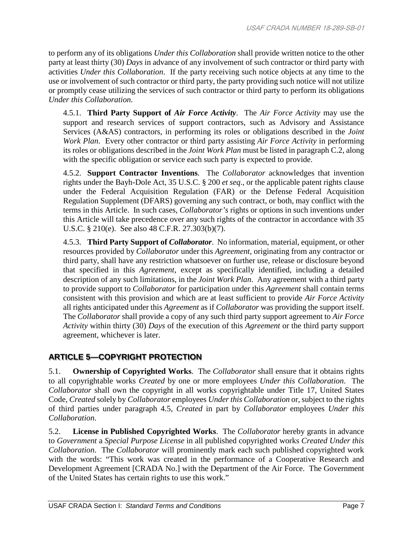to perform any of its obligations *Under this Collaboration* shall provide written notice to the other party at least thirty (30) *Days* in advance of any involvement of such contractor or third party with activities *Under this Collaboration*. If the party receiving such notice objects at any time to the use or involvement of such contractor or third party, the party providing such notice will not utilize or promptly cease utilizing the services of such contractor or third party to perform its obligations *Under this Collaboration*.

4.5.1. **Third Party Support of** *Air Force Activity*. The *Air Force Activity* may use the support and research services of support contractors, such as Advisory and Assistance Services (A&AS) contractors, in performing its roles or obligations described in the *Joint Work Plan*. Every other contractor or third party assisting *Air Force Activity* in performing its roles or obligations described in the *Joint Work Plan* must be listed in paragraph C.2, along with the specific obligation or service each such party is expected to provide.

4.5.2. **Support Contractor Inventions**. The *Collaborator* acknowledges that invention rights under the Bayh-Dole Act, 35 U.S.C. § 200 *et seq*., or the applicable patent rights clause under the Federal Acquisition Regulation (FAR) or the Defense Federal Acquisition Regulation Supplement (DFARS) governing any such contract, or both, may conflict with the terms in this Article. In such cases, *Collaborator's* rights or options in such inventions under this Article will take precedence over any such rights of the contractor in accordance with 35 U.S.C. § 210(e). See also 48 C.F.R. 27.303(b)(7).

4.5.3. **Third Party Support of** *Collaborator*. No information, material, equipment, or other resources provided by *Collaborator* under this *Agreement*, originating from any contractor or third party, shall have any restriction whatsoever on further use, release or disclosure beyond that specified in this *Agreement*, except as specifically identified, including a detailed description of any such limitations, in the *Joint Work Plan*. Any agreement with a third party to provide support to *Collaborator* for participation under this *Agreement* shall contain terms consistent with this provision and which are at least sufficient to provide *Air Force Activity* all rights anticipated under this *Agreement* as if *Collaborator* was providing the support itself. The *Collaborator* shall provide a copy of any such third party support agreement to *Air Force Activity* within thirty (30) *Days* of the execution of this *Agreement* or the third party support agreement, whichever is later.

## **ARTICLE 5—COPYRIGHT PROTECTION**

5.1. **Ownership of Copyrighted Works**. The *Collaborator* shall ensure that it obtains rights to all copyrightable works *Created* by one or more employees *Under this Collaboration*. The *Collaborator* shall own the copyright in all works copyrightable under Title 17, United States Code, *Created* solely by *Collaborator* employees *Under this Collaboration* or, subject to the rights of third parties under paragraph 4.5*, Created* in part by *Collaborator* employees *Under this Collaboration*.

5.2. **License in Published Copyrighted Works**. The *Collaborator* hereby grants in advance to *Government* a *Special Purpose License* in all published copyrighted works *Created Under this Collaboration*. The *Collaborator* will prominently mark each such published copyrighted work with the words: "This work was created in the performance of a Cooperative Research and Development Agreement [CRADA No.] with the Department of the Air Force. The Government of the United States has certain rights to use this work."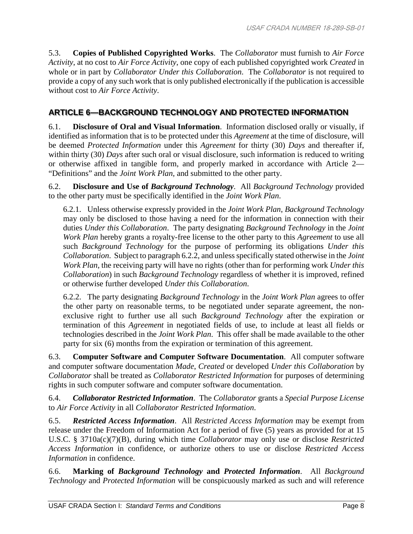5.3. **Copies of Published Copyrighted Works**. The *Collaborator* must furnish to *Air Force Activity*, at no cost to *Air Force Activity*, one copy of each published copyrighted work *Created* in whole or in part by *Collaborator Under this Collaboration*. The *Collaborator* is not required to provide a copy of any such work that is only published electronically if the publication is accessible without cost to *Air Force Activity*.

### **ARTICLE 6—BACKGROUND TECHNOLOGY AND PROTECTED INFORMATION**

6.1. **Disclosure of Oral and Visual Information**. Information disclosed orally or visually, if identified as information that is to be protected under this *Agreement* at the time of disclosure, will be deemed *Protected Information* under this *Agreement* for thirty (30) *Days* and thereafter if, within thirty (30) *Days* after such oral or visual disclosure, such information is reduced to writing or otherwise affixed in tangible form, and properly marked in accordance with Article 2— "Definitions" and the *Joint Work Plan*, and submitted to the other party.

6.2. **Disclosure and Use of** *Background Technology*. All *Background Technology* provided to the other party must be specifically identified in the *Joint Work Plan*.

6.2.1. Unless otherwise expressly provided in the *Joint Work Plan*, *Background Technology* may only be disclosed to those having a need for the information in connection with their duties *Under this Collaboration*. The party designating *Background Technology* in the *Joint Work Plan* hereby grants a royalty-free license to the other party to this *Agreement* to use all such *Background Technology* for the purpose of performing its obligations *Under this Collaboration*. Subject to paragraph 6.2.2, and unless specifically stated otherwise in the *Joint Work Plan*, the receiving party will have no rights (other than for performing work *Under this Collaboration*) in such *Background Technology* regardless of whether it is improved, refined or otherwise further developed *Under this Collaboration*.

6.2.2. The party designating *Background Technology* in the *Joint Work Plan* agrees to offer the other party on reasonable terms, to be negotiated under separate agreement, the nonexclusive right to further use all such *Background Technology* after the expiration or termination of this *Agreement* in negotiated fields of use, to include at least all fields or technologies described in the *Joint Work Plan*. This offer shall be made available to the other party for six (6) months from the expiration or termination of this agreement.

6.3. **Computer Software and Computer Software Documentation**. All computer software and computer software documentation *Made*, *Created* or developed *Under this Collaboration* by *Collaborator* shall be treated as *Collaborator Restricted Information* for purposes of determining rights in such computer software and computer software documentation.

6.4. *Collaborator Restricted Information*. The *Collaborator* grants a *Special Purpose License* to *Air Force Activity* in all *Collaborator Restricted Information*.

6.5. *Restricted Access Information*. All *Restricted Access Information* may be exempt from release under the Freedom of Information Act for a period of five (5) years as provided for at 15 U.S.C. § 3710a(c)(7)(B), during which time *Collaborator* may only use or disclose *Restricted Access Information* in confidence, or authorize others to use or disclose *Restricted Access Information* in confidence.

6.6. **Marking of** *Background Technology* **and** *Protected Information*. All *Background Technology* and *Protected Information* will be conspicuously marked as such and will reference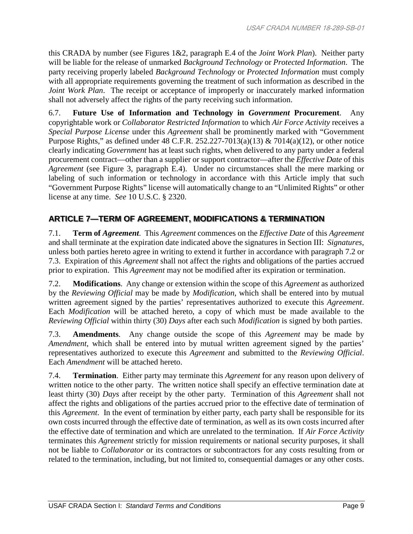this CRADA by number (see Figures 1&2, paragraph E.4 of the *Joint Work Plan*). Neither party will be liable for the release of unmarked *Background Technology* or *Protected Information*. The party receiving properly labeled *Background Technology* or *Protected Information* must comply with all appropriate requirements governing the treatment of such information as described in the *Joint Work Plan.* The receipt or acceptance of improperly or inaccurately marked information shall not adversely affect the rights of the party receiving such information.

6.7. **Future Use of Information and Technology in** *Government* **Procurement**. Any copyrightable work or *Collaborator Restricted Information* to which *Air Force Activity* receives a *Special Purpose License* under this *Agreement* shall be prominently marked with "Government Purpose Rights," as defined under 48 C.F.R. 252.227-7013(a)(13) & 7014(a)(12), or other notice clearly indicating *Government* has at least such rights, when delivered to any party under a federal procurement contract—other than a supplier or support contractor—after the *Effective Date* of this *Agreement* (see Figure 3, paragraph E.4). Under no circumstances shall the mere marking or labeling of such information or technology in accordance with this Article imply that such "Government Purpose Rights" license will automatically change to an "Unlimited Rights" or other license at any time. *See* 10 U.S.C. § 2320.

## **ARTICLE 7—TERM OF AGREEMENT, MODIFICATIONS & TERMINATION**

7.1. **Term of** *Agreement*. This *Agreement* commences on the *Effective Date* of this *Agreement* and shall terminate at the expiration date indicated above the signatures in Section III: *Signatures*, unless both parties hereto agree in writing to extend it further in accordance with paragraph 7.2 or 7.3. Expiration of this *Agreement* shall not affect the rights and obligations of the parties accrued prior to expiration. This *Agreement* may not be modified after its expiration or termination.

7.2. **Modifications**. Any change or extension within the scope of this *Agreement* as authorized by the *Reviewing Official* may be made by *Modification*, which shall be entered into by mutual written agreement signed by the parties' representatives authorized to execute this *Agreement*. Each *Modification* will be attached hereto, a copy of which must be made available to the *Reviewing Official* within thirty (30) *Days* after each such *Modification* is signed by both parties.

7.3. **Amendments**. Any change outside the scope of this *Agreement* may be made by *Amendment*, which shall be entered into by mutual written agreement signed by the parties' representatives authorized to execute this *Agreement* and submitted to the *Reviewing Official*. Each *Amendment* will be attached hereto.

7.4. **Termination**. Either party may terminate this *Agreement* for any reason upon delivery of written notice to the other party. The written notice shall specify an effective termination date at least thirty (30) *Days* after receipt by the other party. Termination of this *Agreement* shall not affect the rights and obligations of the parties accrued prior to the effective date of termination of this *Agreement*. In the event of termination by either party, each party shall be responsible for its own costs incurred through the effective date of termination, as well as its own costs incurred after the effective date of termination and which are unrelated to the termination. If *Air Force Activity* terminates this *Agreement* strictly for mission requirements or national security purposes, it shall not be liable to *Collaborator* or its contractors or subcontractors for any costs resulting from or related to the termination, including, but not limited to, consequential damages or any other costs.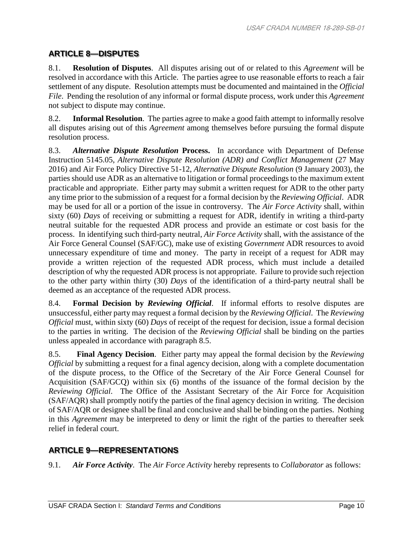## **ARTICLE 8—DISPUTES**

8.1. **Resolution of Disputes**. All disputes arising out of or related to this *Agreement* will be resolved in accordance with this Article. The parties agree to use reasonable efforts to reach a fair settlement of any dispute. Resolution attempts must be documented and maintained in the *Official File*. Pending the resolution of any informal or formal dispute process, work under this *Agreement* not subject to dispute may continue.

8.2. **Informal Resolution**. The parties agree to make a good faith attempt to informally resolve all disputes arising out of this *Agreement* among themselves before pursuing the formal dispute resolution process.

8.3. *Alternative Dispute Resolution* **Process.** In accordance with Department of Defense Instruction 5145.05, *Alternative Dispute Resolution (ADR) and Conflict Management* (27 May 2016) and Air Force Policy Directive 51-12, *Alternative Dispute Resolution* (9 January 2003), the parties should use ADR as an alternative to litigation or formal proceedings to the maximum extent practicable and appropriate. Either party may submit a written request for ADR to the other party any time prior to the submission of a request for a formal decision by the *Reviewing Official*. ADR may be used for all or a portion of the issue in controversy. The *Air Force Activity* shall, within sixty (60) *Days* of receiving or submitting a request for ADR, identify in writing a third-party neutral suitable for the requested ADR process and provide an estimate or cost basis for the process. In identifying such third-party neutral, *Air Force Activity* shall, with the assistance of the Air Force General Counsel (SAF/GC), make use of existing *Government* ADR resources to avoid unnecessary expenditure of time and money. The party in receipt of a request for ADR may provide a written rejection of the requested ADR process, which must include a detailed description of why the requested ADR process is not appropriate. Failure to provide such rejection to the other party within thirty (30) *Days* of the identification of a third-party neutral shall be deemed as an acceptance of the requested ADR process.

8.4. **Formal Decision by** *Reviewing Official*. If informal efforts to resolve disputes are unsuccessful, either party may request a formal decision by the *Reviewing Official*. The *Reviewing Official* must, within sixty (60) *Days* of receipt of the request for decision, issue a formal decision to the parties in writing. The decision of the *Reviewing Official* shall be binding on the parties unless appealed in accordance with paragraph 8.5.

8.5. **Final Agency Decision**. Either party may appeal the formal decision by the *Reviewing Official* by submitting a request for a final agency decision, along with a complete documentation of the dispute process, to the Office of the Secretary of the Air Force General Counsel for Acquisition (SAF/GCQ) within six (6) months of the issuance of the formal decision by the *Reviewing Official*. The Office of the Assistant Secretary of the Air Force for Acquisition (SAF/AQR) shall promptly notify the parties of the final agency decision in writing. The decision of SAF/AQR or designee shall be final and conclusive and shall be binding on the parties. Nothing in this *Agreement* may be interpreted to deny or limit the right of the parties to thereafter seek relief in federal court.

## **ARTICLE 9—REPRESENTATIONS**

9.1. *Air Force Activity*. The *Air Force Activity* hereby represents to *Collaborator* as follows: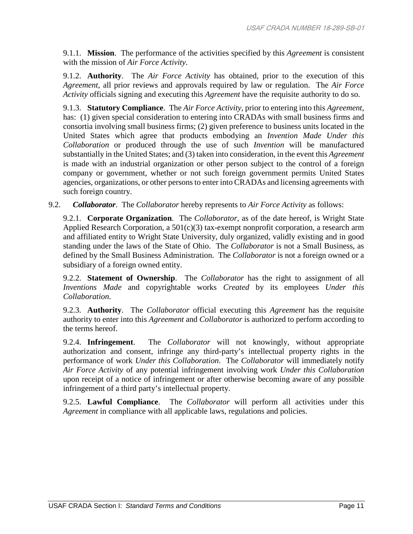9.1.1. **Mission**. The performance of the activities specified by this *Agreement* is consistent with the mission of *Air Force Activity*.

9.1.2. **Authority**. The *Air Force Activity* has obtained, prior to the execution of this *Agreement*, all prior reviews and approvals required by law or regulation. The *Air Force Activity* officials signing and executing this *Agreement* have the requisite authority to do so.

9.1.3. **Statutory Compliance**. The *Air Force Activity*, prior to entering into this *Agreement*, has: (1) given special consideration to entering into CRADAs with small business firms and consortia involving small business firms; (2) given preference to business units located in the United States which agree that products embodying an *Invention Made Under this Collaboration* or produced through the use of such *Invention* will be manufactured substantially in the United States; and (3) taken into consideration, in the event this *Agreement* is made with an industrial organization or other person subject to the control of a foreign company or government, whether or not such foreign government permits United States agencies, organizations, or other persons to enter into CRADAs and licensing agreements with such foreign country.

9.2. *Collaborator*. The *Collaborator* hereby represents to *Air Force Activity* as follows:

9.2.1. **Corporate Organization**. The *Collaborator*, as of the date hereof, is Wright State Applied Research Corporation, a 501(c)(3) tax-exempt nonprofit corporation, a research arm and affiliated entity to Wright State University, duly organized, validly existing and in good standing under the laws of the State of Ohio. The *Collaborator* is not a Small Business, as defined by the Small Business Administration. The *Collaborator* is not a foreign owned or a subsidiary of a foreign owned entity.

9.2.2. **Statement of Ownership**. The *Collaborator* has the right to assignment of all *Inventions Made* and copyrightable works *Created* by its employees *Under this Collaboration*.

9.2.3. **Authority**. The *Collaborator* official executing this *Agreement* has the requisite authority to enter into this *Agreement* and *Collaborator* is authorized to perform according to the terms hereof.

9.2.4. **Infringement**. The *Collaborator* will not knowingly, without appropriate authorization and consent, infringe any third-party's intellectual property rights in the performance of work *Under this Collaboration*. The *Collaborator* will immediately notify *Air Force Activity* of any potential infringement involving work *Under this Collaboration* upon receipt of a notice of infringement or after otherwise becoming aware of any possible infringement of a third party's intellectual property.

9.2.5. **Lawful Compliance**. The *Collaborator* will perform all activities under this *Agreement* in compliance with all applicable laws, regulations and policies.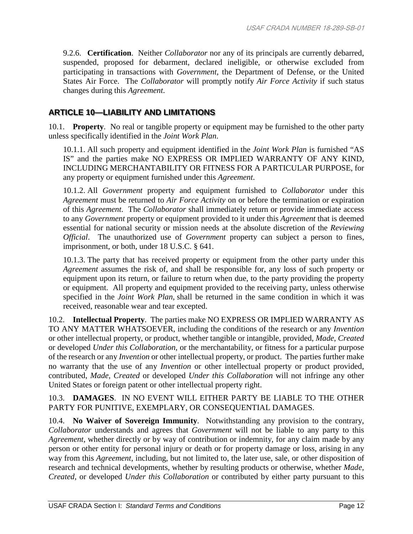9.2.6. **Certification**. Neither *Collaborator* nor any of its principals are currently debarred, suspended, proposed for debarment, declared ineligible, or otherwise excluded from participating in transactions with *Government*, the Department of Defense, or the United States Air Force. The *Collaborator* will promptly notify *Air Force Activity* if such status changes during this *Agreement*.

#### **ARTICLE 10—LIABILITY AND LIMITATIONS**

10.1. **Property**. No real or tangible property or equipment may be furnished to the other party unless specifically identified in the *Joint Work Plan*.

10.1.1. All such property and equipment identified in the *Joint Work Plan* is furnished "AS IS" and the parties make NO EXPRESS OR IMPLIED WARRANTY OF ANY KIND, INCLUDING MERCHANTABILITY OR FITNESS FOR A PARTICULAR PURPOSE, for any property or equipment furnished under this *Agreement*.

10.1.2. All *Government* property and equipment furnished to *Collaborator* under this *Agreement* must be returned to *Air Force Activity* on or before the termination or expiration of this *Agreement*. The *Collaborator* shall immediately return or provide immediate access to any *Government* property or equipment provided to it under this *Agreement* that is deemed essential for national security or mission needs at the absolute discretion of the *Reviewing Official*. The unauthorized use of *Government* property can subject a person to fines, imprisonment, or both, under 18 U.S.C. § 641.

10.1.3. The party that has received property or equipment from the other party under this *Agreement* assumes the risk of, and shall be responsible for, any loss of such property or equipment upon its return, or failure to return when due, to the party providing the property or equipment. All property and equipment provided to the receiving party, unless otherwise specified in the *Joint Work Plan*, shall be returned in the same condition in which it was received, reasonable wear and tear excepted.

10.2. **Intellectual Property**. The parties make NO EXPRESS OR IMPLIED WARRANTY AS TO ANY MATTER WHATSOEVER, including the conditions of the research or any *Invention*  or other intellectual property, or product, whether tangible or intangible, provided, *Made*, *Created* or developed *Under this Collaboration*, or the merchantability, or fitness for a particular purpose of the research or any *Invention* or other intellectual property, or product. The parties further make no warranty that the use of any *Invention* or other intellectual property or product provided, contributed, *Made, Created* or developed *Under this Collaboration* will not infringe any other United States or foreign patent or other intellectual property right.

#### 10.3. **DAMAGES**. IN NO EVENT WILL EITHER PARTY BE LIABLE TO THE OTHER PARTY FOR PUNITIVE, EXEMPLARY, OR CONSEQUENTIAL DAMAGES.

10.4. **No Waiver of Sovereign Immunity**. Notwithstanding any provision to the contrary, *Collaborator* understands and agrees that *Government* will not be liable to any party to this *Agreement*, whether directly or by way of contribution or indemnity, for any claim made by any person or other entity for personal injury or death or for property damage or loss, arising in any way from this *Agreement*, including, but not limited to, the later use, sale, or other disposition of research and technical developments, whether by resulting products or otherwise, whether *Made, Created*, or developed *Under this Collaboration* or contributed by either party pursuant to this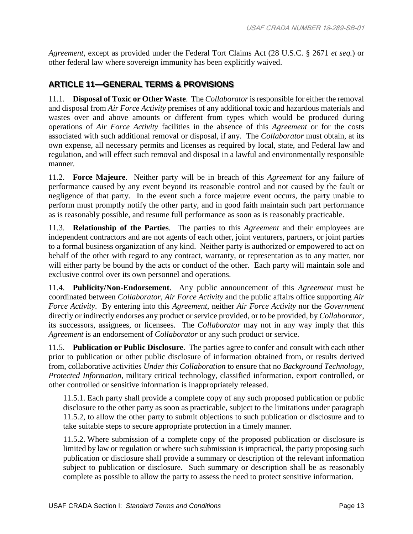*Agreement*, except as provided under the Federal Tort Claims Act (28 U.S.C. § 2671 *et seq.*) or other federal law where sovereign immunity has been explicitly waived.

#### **ARTICLE 11—GENERAL TERMS & PROVISIONS**

11.1. **Disposal of Toxic or Other Waste**. The *Collaborator* is responsible for either the removal and disposal from *Air Force Activity* premises of any additional toxic and hazardous materials and wastes over and above amounts or different from types which would be produced during operations of *Air Force Activity* facilities in the absence of this *Agreement* or for the costs associated with such additional removal or disposal, if any*.* The *Collaborator* must obtain, at its own expense, all necessary permits and licenses as required by local, state, and Federal law and regulation, and will effect such removal and disposal in a lawful and environmentally responsible manner.

11.2. **Force Majeure**. Neither party will be in breach of this *Agreement* for any failure of performance caused by any event beyond its reasonable control and not caused by the fault or negligence of that party. In the event such a force majeure event occurs, the party unable to perform must promptly notify the other party, and in good faith maintain such part performance as is reasonably possible, and resume full performance as soon as is reasonably practicable.

11.3. **Relationship of the Parties**. The parties to this *Agreement* and their employees are independent contractors and are not agents of each other, joint venturers, partners, or joint parties to a formal business organization of any kind. Neither party is authorized or empowered to act on behalf of the other with regard to any contract, warranty, or representation as to any matter, nor will either party be bound by the acts or conduct of the other. Each party will maintain sole and exclusive control over its own personnel and operations.

11.4. **Publicity/Non-Endorsement**. Any public announcement of this *Agreement* must be coordinated between *Collaborator*, *Air Force Activity* and the public affairs office supporting *Air Force Activity*. By entering into this *Agreement*, neither *Air Force Activity* nor the *Government* directly or indirectly endorses any product or service provided, or to be provided, by *Collaborator*, its successors, assignees, or licensees. The *Collaborator* may not in any way imply that this *Agreement* is an endorsement of *Collaborator* or any such product or service.

11.5. **Publication or Public Disclosure**. The parties agree to confer and consult with each other prior to publication or other public disclosure of information obtained from, or results derived from, collaborative activities *Under this Collaboration* to ensure that no *Background Technology, Protected Information,* military critical technology, classified information, export controlled, or other controlled or sensitive information is inappropriately released.

11.5.1. Each party shall provide a complete copy of any such proposed publication or public disclosure to the other party as soon as practicable, subject to the limitations under paragraph 11.5.2, to allow the other party to submit objections to such publication or disclosure and to take suitable steps to secure appropriate protection in a timely manner.

11.5.2. Where submission of a complete copy of the proposed publication or disclosure is limited by law or regulation or where such submission is impractical, the party proposing such publication or disclosure shall provide a summary or description of the relevant information subject to publication or disclosure. Such summary or description shall be as reasonably complete as possible to allow the party to assess the need to protect sensitive information.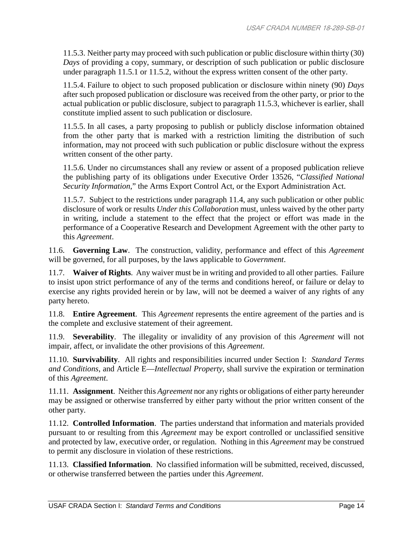11.5.3. Neither party may proceed with such publication or public disclosure within thirty (30) *Days* of providing a copy, summary, or description of such publication or public disclosure under paragraph 11.5.1 or 11.5.2, without the express written consent of the other party.

11.5.4. Failure to object to such proposed publication or disclosure within ninety (90) *Days* after such proposed publication or disclosure was received from the other party, or prior to the actual publication or public disclosure, subject to paragraph 11.5.3, whichever is earlier, shall constitute implied assent to such publication or disclosure.

11.5.5. In all cases, a party proposing to publish or publicly disclose information obtained from the other party that is marked with a restriction limiting the distribution of such information, may not proceed with such publication or public disclosure without the express written consent of the other party.

11.5.6. Under no circumstances shall any review or assent of a proposed publication relieve the publishing party of its obligations under Executive Order 13526, "*Classified National Security Information*," the Arms Export Control Act, or the Export Administration Act.

11.5.7. Subject to the restrictions under paragraph 11.4, any such publication or other public disclosure of work or results *Under this Collaboration* must, unless waived by the other party in writing, include a statement to the effect that the project or effort was made in the performance of a Cooperative Research and Development Agreement with the other party to this *Agreement*.

11.6. **Governing Law**. The construction, validity, performance and effect of this *Agreement* will be governed, for all purposes, by the laws applicable to *Government*.

11.7. **Waiver of Rights**. Any waiver must be in writing and provided to all other parties. Failure to insist upon strict performance of any of the terms and conditions hereof, or failure or delay to exercise any rights provided herein or by law, will not be deemed a waiver of any rights of any party hereto.

11.8. **Entire Agreement**. This *Agreement* represents the entire agreement of the parties and is the complete and exclusive statement of their agreement.

11.9. **Severability**. The illegality or invalidity of any provision of this *Agreement* will not impair, affect, or invalidate the other provisions of this *Agreement*.

11.10. **Survivability**. All rights and responsibilities incurred under Section I: *Standard Terms and Conditions*, and Article E—*Intellectual Property*, shall survive the expiration or termination of this *Agreement*.

11.11. **Assignment**. Neither this *Agreement* nor any rights or obligations of either party hereunder may be assigned or otherwise transferred by either party without the prior written consent of the other party.

11.12. **Controlled Information**. The parties understand that information and materials provided pursuant to or resulting from this *Agreement* may be export controlled or unclassified sensitive and protected by law, executive order, or regulation. Nothing in this *Agreement* may be construed to permit any disclosure in violation of these restrictions.

11.13. **Classified Information**. No classified information will be submitted, received, discussed, or otherwise transferred between the parties under this *Agreement*.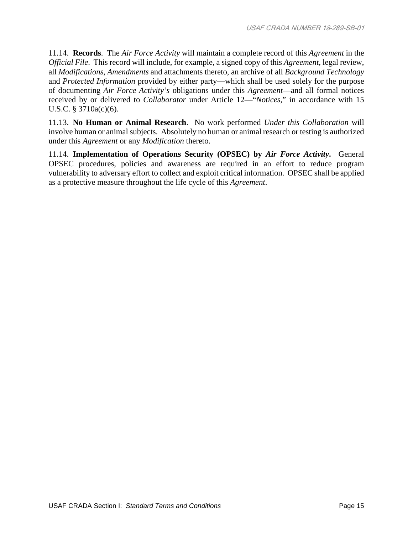11.14. **Records**. The *Air Force Activity* will maintain a complete record of this *Agreement* in the *Official File*. This record will include, for example, a signed copy of this *Agreement*, legal review, all *Modifications*, *Amendments* and attachments thereto, an archive of all *Background Technology* and *Protected Information* provided by either party—which shall be used solely for the purpose of documenting *Air Force Activity's* obligations under this *Agreement*—and all formal notices received by or delivered to *Collaborator* under Article 12—"*Notices*," in accordance with 15 U.S.C. § 3710a(c)(6).

11.13. **No Human or Animal Research**. No work performed *Under this Collaboration* will involve human or animal subjects. Absolutely no human or animal research or testing is authorized under this *Agreement* or any *Modification* thereto.

11.14. **Implementation of Operations Security (OPSEC) by** *Air Force Activity***.** General OPSEC procedures, policies and awareness are required in an effort to reduce program vulnerability to adversary effort to collect and exploit critical information. OPSEC shall be applied as a protective measure throughout the life cycle of this *Agreement*.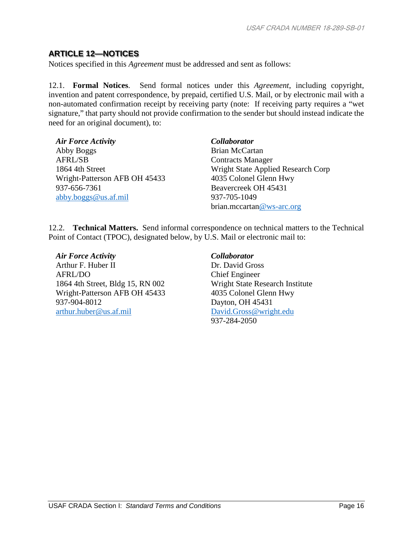#### **ARTICLE 12—NOTICES**

Notices specified in this *Agreement* must be addressed and sent as follows:

12.1. **Formal Notices**. Send formal notices under this *Agreement*, including copyright, invention and patent correspondence, by prepaid, certified U.S. Mail, or by electronic mail with a non-automated confirmation receipt by receiving party (note: If receiving party requires a "wet signature," that party should not provide confirmation to the sender but should instead indicate the need for an original document), to:

| <b>Air Force Activity</b>     | Collaborator                       |
|-------------------------------|------------------------------------|
| Abby Boggs                    | Brian McCartan                     |
| AFRL/SB                       | <b>Contracts Manager</b>           |
| 1864 4th Street               | Wright State Applied Research Corp |
| Wright-Patterson AFB OH 45433 | 4035 Colonel Glenn Hwy             |
| 937-656-7361                  | Beavercreek OH 45431               |
| abby.boggs@us.af.mil          | 937-705-1049                       |
|                               | brian.mccartan@ws-arc.org          |

12.2. **Technical Matters.** Send informal correspondence on technical matters to the Technical Point of Contact (TPOC), designated below, by U.S. Mail or electronic mail to:

*Air Force Activity Collaborator* Arthur F. Huber II AFRL/DO 1864 4th Street, Bldg 15, RN 002 Wright-Patterson AFB OH 45433 937-904-8012 [arthur.huber@us.af.mil](mailto:arthur.huber@us.af.mil)

Dr. David Gross Chief Engineer Wright State Research Institute 4035 Colonel Glenn Hwy Dayton, OH 45431 [David.Gross@wright.edu](mailto:David.Gross@wright.edu) 937-284-2050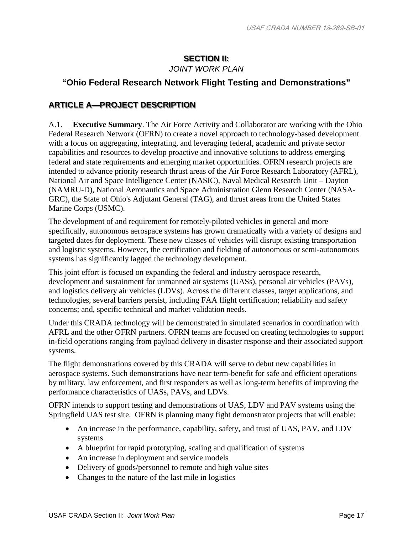## **SECTION II:**

*JOINT WORK PLAN*

## **"Ohio Federal Research Network Flight Testing and Demonstrations"**

### **ARTICLE A—PROJECT DESCRIPTION**

A.1. **Executive Summary**. The Air Force Activity and Collaborator are working with the Ohio Federal Research Network (OFRN) to create a novel approach to technology-based development with a focus on aggregating, integrating, and leveraging federal, academic and private sector capabilities and resources to develop proactive and innovative solutions to address emerging federal and state requirements and emerging market opportunities. OFRN research projects are intended to advance priority research thrust areas of the Air Force Research Laboratory (AFRL), National Air and Space Intelligence Center (NASIC), Naval Medical Research Unit – Dayton (NAMRU-D), National Aeronautics and Space Administration Glenn Research Center (NASA-GRC), the State of Ohio's Adjutant General (TAG), and thrust areas from the United States Marine Corps (USMC).

The development of and requirement for remotely-piloted vehicles in general and more specifically, autonomous aerospace systems has grown dramatically with a variety of designs and targeted dates for deployment. These new classes of vehicles will disrupt existing transportation and logistic systems. However, the certification and fielding of autonomous or semi-autonomous systems has significantly lagged the technology development.

This joint effort is focused on expanding the federal and industry aerospace research, development and sustainment for unmanned air systems (UASs), personal air vehicles (PAVs), and logistics delivery air vehicles (LDVs). Across the different classes, target applications, and technologies, several barriers persist, including FAA flight certification; reliability and safety concerns; and, specific technical and market validation needs.

Under this CRADA technology will be demonstrated in simulated scenarios in coordination with AFRL and the other OFRN partners. OFRN teams are focused on creating technologies to support in-field operations ranging from payload delivery in disaster response and their associated support systems.

The flight demonstrations covered by this CRADA will serve to debut new capabilities in aerospace systems. Such demonstrations have near term-benefit for safe and efficient operations by military, law enforcement, and first responders as well as long-term benefits of improving the performance characteristics of UASs, PAVs, and LDVs.

OFRN intends to support testing and demonstrations of UAS, LDV and PAV systems using the Springfield UAS test site. OFRN is planning many fight demonstrator projects that will enable:

- An increase in the performance, capability, safety, and trust of UAS, PAV, and LDV systems
- A blueprint for rapid prototyping, scaling and qualification of systems
- An increase in deployment and service models
- Delivery of goods/personnel to remote and high value sites
- Changes to the nature of the last mile in logistics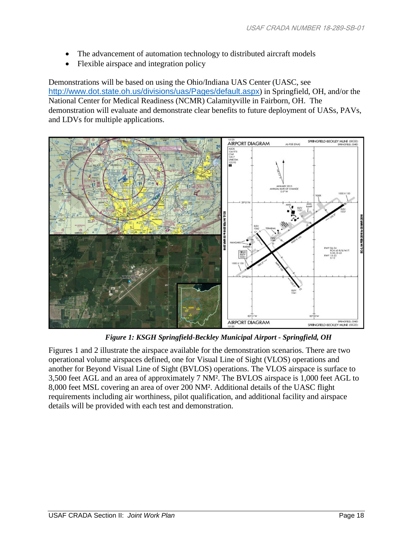- The advancement of automation technology to distributed aircraft models
- Flexible airspace and integration policy

Demonstrations will be based on using the Ohio/Indiana UAS Center (UASC, see <http://www.dot.state.oh.us/divisions/uas/Pages/default.aspx>) in Springfield, OH, and/or the National Center for Medical Readiness (NCMR) Calamityville in Fairborn, OH. The demonstration will evaluate and demonstrate clear benefits to future deployment of UASs, PAVs, and LDVs for multiple applications.



*Figure 1: KSGH Springfield-Beckley Municipal Airport - Springfield, OH*

Figures 1 and 2 illustrate the airspace available for the demonstration scenarios. There are two operational volume airspaces defined, one for Visual Line of Sight (VLOS) operations and another for Beyond Visual Line of Sight (BVLOS) operations. The VLOS airspace is surface to 3,500 feet AGL and an area of approximately 7 NM². The BVLOS airspace is 1,000 feet AGL to 8,000 feet MSL covering an area of over 200 NM². Additional details of the UASC flight requirements including air worthiness, pilot qualification, and additional facility and airspace details will be provided with each test and demonstration.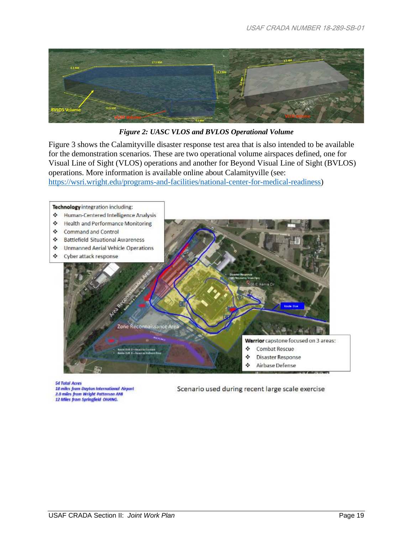

*Figure 2: UASC VLOS and BVLOS Operational Volume*

Figure 3 shows the Calamityville disaster response test area that is also intended to be available for the demonstration scenarios. These are two operational volume airspaces defined, one for Visual Line of Sight (VLOS) operations and another for Beyond Visual Line of Sight (BVLOS) operations. More information is available online about Calamityville (see:

[https://wsri.wright.edu/programs-and-facilities/national-center-for-medical-readiness\)](https://wsri.wright.edu/programs-and-facilities/national-center-for-medical-readiness)



**54 Total Acres** 18 miles from Dayton International Airport 2.0 miles from Wright Patterson AFB<br>12 Miles from Springfield OHANG.

Scenario used during recent large scale exercise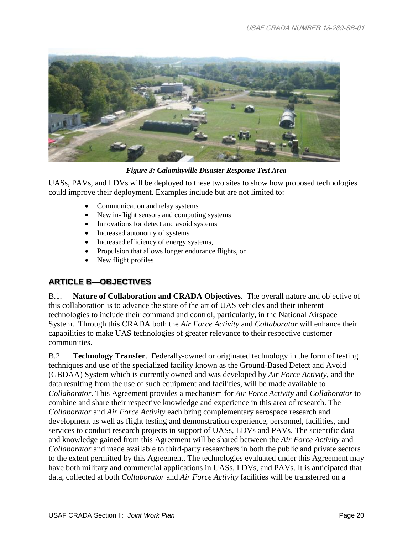

*Figure 3: Calamityville Disaster Response Test Area* 

UASs, PAVs, and LDVs will be deployed to these two sites to show how proposed technologies could improve their deployment. Examples include but are not limited to:

- Communication and relay systems
- New in-flight sensors and computing systems
- Innovations for detect and avoid systems
- Increased autonomy of systems
- Increased efficiency of energy systems,
- Propulsion that allows longer endurance flights, or
- New flight profiles

#### **ARTICLE B—OBJECTIVES**

B.1. **Nature of Collaboration and CRADA Objectives**. The overall nature and objective of this collaboration is to advance the state of the art of UAS vehicles and their inherent technologies to include their command and control, particularly, in the National Airspace System. Through this CRADA both the *Air Force Activity* and *Collaborator* will enhance their capabilities to make UAS technologies of greater relevance to their respective customer communities.

B.2. **Technology Transfer**. Federally-owned or originated technology in the form of testing techniques and use of the specialized facility known as the Ground-Based Detect and Avoid (GBDAA) System which is currently owned and was developed by *Air Force Activity*, and the data resulting from the use of such equipment and facilities, will be made available to *Collaborator*. This Agreement provides a mechanism for *Air Force Activity* and *Collaborator* to combine and share their respective knowledge and experience in this area of research. The *Collaborator* and *Air Force Activity* each bring complementary aerospace research and development as well as flight testing and demonstration experience, personnel, facilities, and services to conduct research projects in support of UASs, LDVs and PAVs. The scientific data and knowledge gained from this Agreement will be shared between the *Air Force Activity* and *Collaborator* and made available to third-party researchers in both the public and private sectors to the extent permitted by this Agreement. The technologies evaluated under this Agreement may have both military and commercial applications in UASs, LDVs, and PAVs. It is anticipated that data, collected at both *Collaborator* and *Air Force Activity* facilities will be transferred on a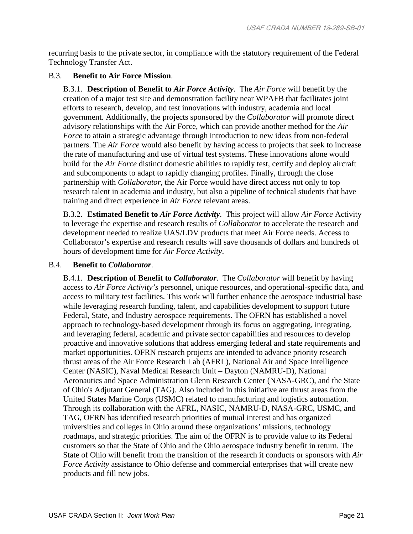recurring basis to the private sector, in compliance with the statutory requirement of the Federal Technology Transfer Act.

#### B.3. **Benefit to Air Force Mission**.

B.3.1. **Description of Benefit to** *Air Force Activity*. The *Air Force* will benefit by the creation of a major test site and demonstration facility near WPAFB that facilitates joint efforts to research, develop, and test innovations with industry, academia and local government. Additionally, the projects sponsored by the *Collaborator* will promote direct advisory relationships with the Air Force, which can provide another method for the *Air Force* to attain a strategic advantage through introduction to new ideas from non-federal partners. The *Air Force* would also benefit by having access to projects that seek to increase the rate of manufacturing and use of virtual test systems. These innovations alone would build for the *Air Force* distinct domestic abilities to rapidly test, certify and deploy aircraft and subcomponents to adapt to rapidly changing profiles. Finally, through the close partnership with *Collaborator*, the Air Force would have direct access not only to top research talent in academia and industry, but also a pipeline of technical students that have training and direct experience in *Air Force* relevant areas.

B.3.2. **Estimated Benefit to** *Air Force Activity*. This project will allow *Air Force* Activity to leverage the expertise and research results of *Collaborator* to accelerate the research and development needed to realize UAS/LDV products that meet Air Force needs. Access to Collaborator's expertise and research results will save thousands of dollars and hundreds of hours of development time for *Air Force Activity*.

#### B.4. **Benefit to** *Collaborator*.

B.4.1. **Description of Benefit to** *Collaborator*. The *Collaborator* will benefit by having access to *Air Force Activity's* personnel, unique resources, and operational-specific data, and access to military test facilities. This work will further enhance the aerospace industrial base while leveraging research funding, talent, and capabilities development to support future Federal, State, and Industry aerospace requirements. The OFRN has established a novel approach to technology-based development through its focus on aggregating, integrating, and leveraging federal, academic and private sector capabilities and resources to develop proactive and innovative solutions that address emerging federal and state requirements and market opportunities. OFRN research projects are intended to advance priority research thrust areas of the Air Force Research Lab (AFRL), National Air and Space Intelligence Center (NASIC), Naval Medical Research Unit – Dayton (NAMRU-D), National Aeronautics and Space Administration Glenn Research Center (NASA-GRC), and the State of Ohio's Adjutant General (TAG). Also included in this initiative are thrust areas from the United States Marine Corps (USMC) related to manufacturing and logistics automation. Through its collaboration with the AFRL, NASIC, NAMRU-D, NASA-GRC, USMC, and TAG, OFRN has identified research priorities of mutual interest and has organized universities and colleges in Ohio around these organizations' missions, technology roadmaps, and strategic priorities. The aim of the OFRN is to provide value to its Federal customers so that the State of Ohio and the Ohio aerospace industry benefit in return. The State of Ohio will benefit from the transition of the research it conducts or sponsors with *Air Force Activity* assistance to Ohio defense and commercial enterprises that will create new products and fill new jobs.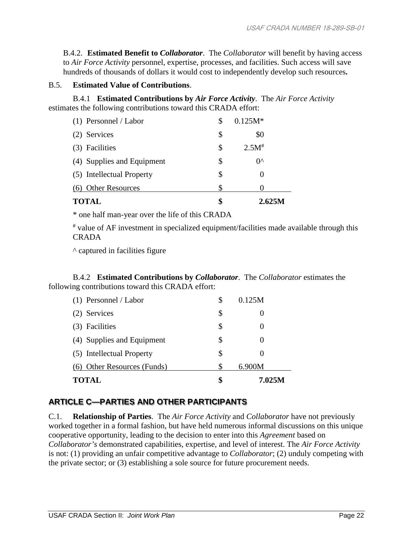B.4.2. **Estimated Benefit to** *Collaborator*.The *Collaborator* will benefit by having access to *Air Force Activity* personnel, expertise, processes, and facilities. Such access will save hundreds of thousands of dollars it would cost to independently develop such resources**.**

#### B.5. **Estimated Value of Contributions**.

B.4.1 **Estimated Contributions by** *Air Force Activity*. The *Air Force Activity* estimates the following contributions toward this CRADA effort:

| <b>TOTAL</b>               | \$ | 2.625M       |
|----------------------------|----|--------------|
| (6) Other Resources        | S  |              |
| (5) Intellectual Property  | \$ |              |
| (4) Supplies and Equipment | \$ | $0^{\wedge}$ |
| (3) Facilities             | \$ | $2.5M^*$     |
| (2) Services               | \$ | \$0          |
| $(1)$ Personnel / Labor    | S  | $0.125M*$    |

\* one half man-year over the life of this CRADA

# value of AF investment in specialized equipment/facilities made available through this CRADA

^ captured in facilities figure

B.4.2 **Estimated Contributions by** *Collaborator*.The *Collaborator* estimates the following contributions toward this CRADA effort:

| <b>TOTAL</b>                | \$ | 7.025M |
|-----------------------------|----|--------|
| (6) Other Resources (Funds) |    | 6.900M |
| (5) Intellectual Property   | \$ |        |
| (4) Supplies and Equipment  | Я  |        |
| Facilities<br>(3)           | \$ |        |
| (2) Services                | \$ |        |
| $(1)$ Personnel / Labor     | \$ | 0.125M |

## **ARTICLE C—PARTIES AND OTHER PARTICIPANTS**

C.1. **Relationship of Parties**. The *Air Force Activity* and *Collaborator* have not previously worked together in a formal fashion, but have held numerous informal discussions on this unique cooperative opportunity, leading to the decision to enter into this *Agreement* based on *Collaborator's* demonstrated capabilities, expertise, and level of interest. The *Air Force Activity*  is not: (1) providing an unfair competitive advantage to *Collaborator*; (2) unduly competing with the private sector; or (3) establishing a sole source for future procurement needs.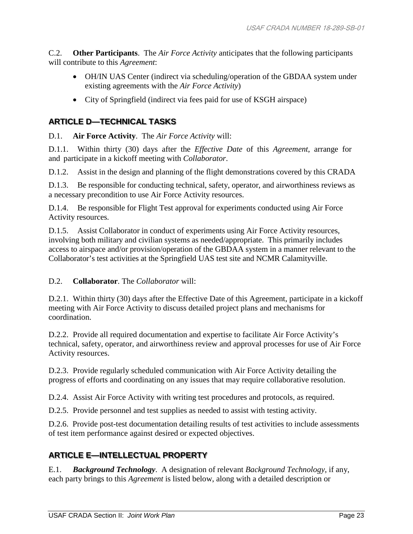C.2. **Other Participants**. The *Air Force Activity* anticipates that the following participants will contribute to this *Agreement*:

- OH/IN UAS Center (indirect via scheduling/operation of the GBDAA system under existing agreements with the *Air Force Activity*)
- City of Springfield (indirect via fees paid for use of KSGH airspace)

## **ARTICLE D—TECHNICAL TASKS**

D.1. **Air Force Activity**. The *Air Force Activity* will:

D.1.1. Within thirty (30) days after the *Effective Date* of this *Agreement*, arrange for and participate in a kickoff meeting with *Collaborator*.

D.1.2. Assist in the design and planning of the flight demonstrations covered by this CRADA

D.1.3. Be responsible for conducting technical, safety, operator, and airworthiness reviews as a necessary precondition to use Air Force Activity resources.

D.1.4. Be responsible for Flight Test approval for experiments conducted using Air Force Activity resources.

D.1.5. Assist Collaborator in conduct of experiments using Air Force Activity resources, involving both military and civilian systems as needed/appropriate. This primarily includes access to airspace and/or provision/operation of the GBDAA system in a manner relevant to the Collaborator's test activities at the Springfield UAS test site and NCMR Calamityville.

#### D.2. **Collaborator**. The *Collaborator* will:

D.2.1. Within thirty (30) days after the Effective Date of this Agreement, participate in a kickoff meeting with Air Force Activity to discuss detailed project plans and mechanisms for coordination.

D.2.2. Provide all required documentation and expertise to facilitate Air Force Activity's technical, safety, operator, and airworthiness review and approval processes for use of Air Force Activity resources.

D.2.3. Provide regularly scheduled communication with Air Force Activity detailing the progress of efforts and coordinating on any issues that may require collaborative resolution.

D.2.4. Assist Air Force Activity with writing test procedures and protocols, as required.

D.2.5. Provide personnel and test supplies as needed to assist with testing activity.

D.2.6. Provide post-test documentation detailing results of test activities to include assessments of test item performance against desired or expected objectives.

#### **ARTICLE E—INTELLECTUAL PROPERTY**

E.1. *Background Technology*. A designation of relevant *Background Technology*, if any, each party brings to this *Agreement* is listed below, along with a detailed description or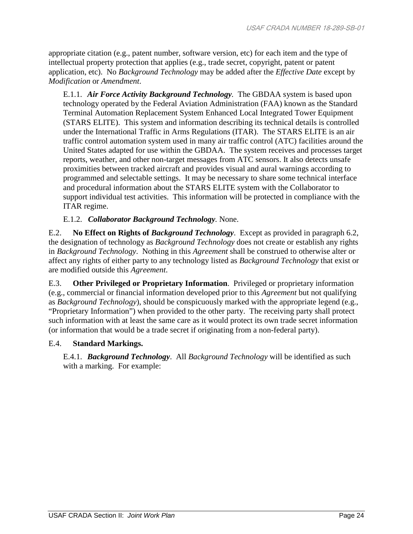appropriate citation (e.g., patent number, software version, etc) for each item and the type of intellectual property protection that applies (e.g., trade secret, copyright, patent or patent application, etc). No *Background Technology* may be added after the *Effective Date* except by *Modification* or *Amendment*.

E.1.1. *Air Force Activity Background Technology.* The GBDAA system is based upon technology operated by the Federal Aviation Administration (FAA) known as the Standard Terminal Automation Replacement System Enhanced Local Integrated Tower Equipment (STARS ELITE). This system and information describing its technical details is controlled under the International Traffic in Arms Regulations (ITAR). The STARS ELITE is an air traffic control automation system used in many air traffic control (ATC) facilities around the United States adapted for use within the GBDAA. The system receives and processes target reports, weather, and other non-target messages from ATC sensors. It also detects unsafe proximities between tracked aircraft and provides visual and aural warnings according to programmed and selectable settings. It may be necessary to share some technical interface and procedural information about the STARS ELITE system with the Collaborator to support individual test activities. This information will be protected in compliance with the ITAR regime.

#### E.1.2. *Collaborator Background Technology.* None.

E.2. **No Effect on Rights of** *Background Technology*. Except as provided in paragraph 6.2, the designation of technology as *Background Technology* does not create or establish any rights in *Background Technology*. Nothing in this *Agreement* shall be construed to otherwise alter or affect any rights of either party to any technology listed as *Background Technology* that exist or are modified outside this *Agreement*.

E.3. **Other Privileged or Proprietary Information**. Privileged or proprietary information (e.g., commercial or financial information developed prior to this *Agreement* but not qualifying as *Background Technology*), should be conspicuously marked with the appropriate legend (e.g., "Proprietary Information") when provided to the other party. The receiving party shall protect such information with at least the same care as it would protect its own trade secret information (or information that would be a trade secret if originating from a non-federal party).

#### E.4. **Standard Markings.**

E.4.1. *Background Technology*. All *Background Technology* will be identified as such with a marking. For example: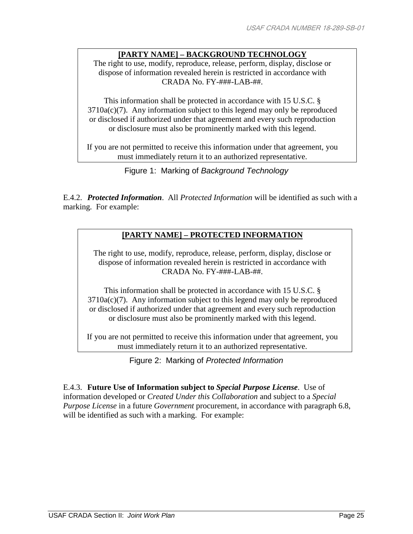#### **[PARTY NAME] – BACKGROUND TECHNOLOGY**

The right to use, modify, reproduce, release, perform, display, disclose or dispose of information revealed herein is restricted in accordance with CRADA No. FY-###-LAB-##.

This information shall be protected in accordance with 15 U.S.C. §  $3710a(c)(7)$ . Any information subject to this legend may only be reproduced or disclosed if authorized under that agreement and every such reproduction or disclosure must also be prominently marked with this legend.

If you are not permitted to receive this information under that agreement, you must immediately return it to an authorized representative.

Figure 1: Marking of *Background Technology*

E.4.2. *Protected Information*. All *Protected Information* will be identified as such with a marking. For example:

#### **[PARTY NAME] – PROTECTED INFORMATION**

The right to use, modify, reproduce, release, perform, display, disclose or dispose of information revealed herein is restricted in accordance with CRADA No. FY-###-LAB-##.

This information shall be protected in accordance with 15 U.S.C. §  $3710a(c)(7)$ . Any information subject to this legend may only be reproduced or disclosed if authorized under that agreement and every such reproduction or disclosure must also be prominently marked with this legend.

If you are not permitted to receive this information under that agreement, you must immediately return it to an authorized representative.

Figure 2: Marking of *Protected Information*

E.4.3. **Future Use of Information subject to** *Special Purpose License*. Use of information developed or *Created Under this Collaboration* and subject to a *Special Purpose License* in a future *Government* procurement, in accordance with paragraph 6.8, will be identified as such with a marking. For example: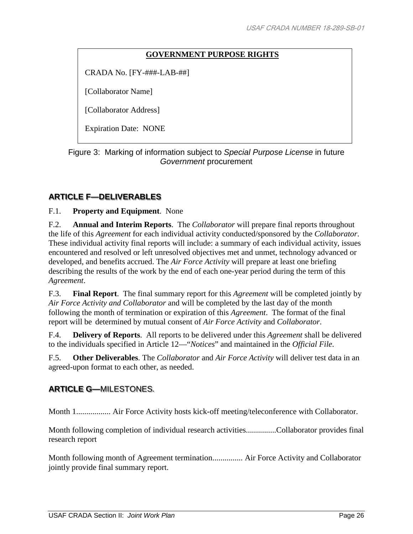#### **GOVERNMENT PURPOSE RIGHTS**

CRADA No. [FY-###-LAB-##]

[Collaborator Name]

[Collaborator Address]

Expiration Date: NONE

Figure 3: Marking of information subject to *Special Purpose License* in future *Government* procurement

#### **ARTICLE F—DELIVERABLES**

F.1. **Property and Equipment**. None

F.2. **Annual and Interim Reports**. The *Collaborator* will prepare final reports throughout the life of this *Agreement* for each individual activity conducted/sponsored by the *Collaborator*. These individual activity final reports will include: a summary of each individual activity, issues encountered and resolved or left unresolved objectives met and unmet, technology advanced or developed, and benefits accrued. The *Air Force Activity* will prepare at least one briefing describing the results of the work by the end of each one-year period during the term of this *Agreement*.

F.3. **Final Report**. The final summary report for this *Agreement* will be completed jointly by *Air Force Activity and Collaborator* and will be completed by the last day of the month following the month of termination or expiration of this *Agreement*. The format of the final report will be determined by mutual consent of *Air Force Activity* and *Collaborator*.

F.4. **Delivery of Reports**. All reports to be delivered under this *Agreement* shall be delivered to the individuals specified in Article 12—"*Notices*" and maintained in the *Official File*.

F.5. **Other Deliverables**. The *Collaborator* and *Air Force Activity* will deliver test data in an agreed-upon format to each other, as needed.

#### **ARTICLE G—**MILESTONES.

Month 1................. Air Force Activity hosts kick-off meeting/teleconference with Collaborator.

Month following completion of individual research activities...............Collaborator provides final research report

Month following month of Agreement termination............... Air Force Activity and Collaborator jointly provide final summary report.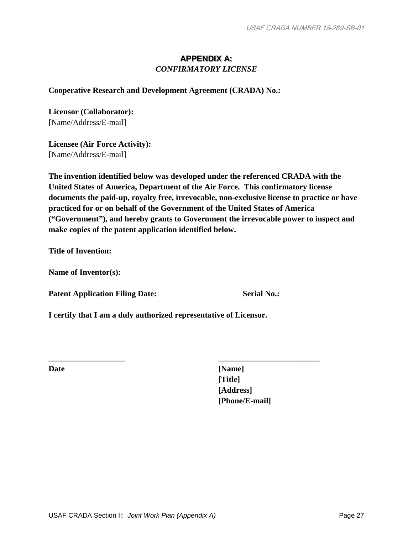#### **APPENDIX A:** *CONFIRMATORY LICENSE*

**Cooperative Research and Development Agreement (CRADA) No.:**

**Licensor (Collaborator):** [Name/Address/E-mail]

**Licensee (Air Force Activity):** [Name/Address/E-mail]

**The invention identified below was developed under the referenced CRADA with the United States of America, Department of the Air Force. This confirmatory license documents the paid-up, royalty free, irrevocable, non-exclusive license to practice or have practiced for or on behalf of the Government of the United States of America ("Government"), and hereby grants to Government the irrevocable power to inspect and make copies of the patent application identified below.** 

**Title of Invention:** 

**Name of Inventor(s):** 

Patent Application Filing Date: Serial No.:

**I certify that I am a duly authorized representative of Licensor.**

**\_\_\_\_\_\_\_\_\_\_\_\_\_\_\_\_\_\_\_ \_\_\_\_\_\_\_\_\_\_\_\_\_\_\_\_\_\_\_\_\_\_\_\_\_**

**Date [Name] [Title] [Address] [Phone/E-mail]**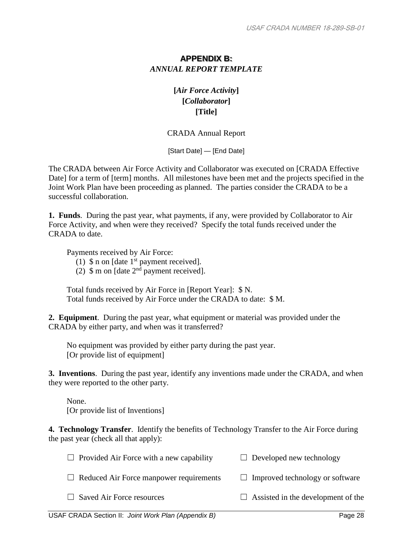#### **APPENDIX B:** *ANNUAL REPORT TEMPLATE*

**[***Air Force Activity***] [***Collaborator***] [Title]**

CRADA Annual Report

[Start Date] — [End Date]

The CRADA between Air Force Activity and Collaborator was executed on [CRADA Effective Date] for a term of [term] months. All milestones have been met and the projects specified in the Joint Work Plan have been proceeding as planned. The parties consider the CRADA to be a successful collaboration.

**1. Funds**. During the past year, what payments, if any, were provided by Collaborator to Air Force Activity, and when were they received? Specify the total funds received under the CRADA to date.

Payments received by Air Force:

(1)  $\$  n on [date 1<sup>st</sup> payment received].

(2)  $\sin \theta$  m on [date 2<sup>nd</sup> payment received].

Total funds received by Air Force in [Report Year]: \$ N. Total funds received by Air Force under the CRADA to date: \$ M.

**2. Equipment**. During the past year, what equipment or material was provided under the CRADA by either party, and when was it transferred?

No equipment was provided by either party during the past year. [Or provide list of equipment]

**3. Inventions**. During the past year, identify any inventions made under the CRADA, and when they were reported to the other party.

None. [Or provide list of Inventions]

**4. Technology Transfer**. Identify the benefits of Technology Transfer to the Air Force during the past year (check all that apply):

| $\Box$ Provided Air Force with a new capability | $\Box$ Developed new technology           |
|-------------------------------------------------|-------------------------------------------|
| $\Box$ Reduced Air Force manpower requirements  | $\Box$ Improved technology or software    |
| $\Box$ Saved Air Force resources                | $\Box$ Assisted in the development of the |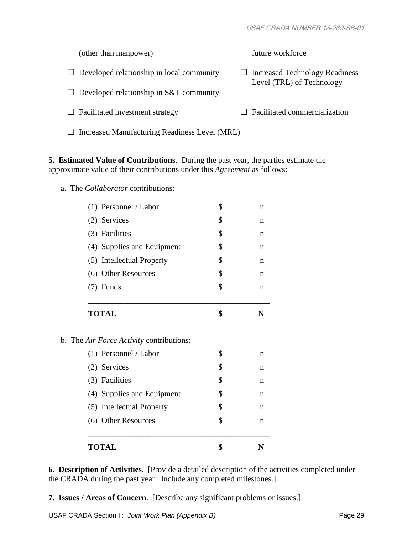| (other than manpower)                            | future workforce                                            |
|--------------------------------------------------|-------------------------------------------------------------|
| $\Box$ Developed relationship in local community | Increased Technology Readiness<br>Level (TRL) of Technology |
| $\Box$ Developed relationship in S&T community   |                                                             |
| $\Box$ Facilitated investment strategy           | Facilitated commercialization                               |
| Increased Manufacturing Readiness Level (MRL)    |                                                             |

**5. Estimated Value of Contributions**. During the past year, the parties estimate the approximate value of their contributions under this *Agreement* as follows:

a. The *Collaborator* contributions:

| (6) Other Resources                             | \$<br>$\mathbf n$ |
|-------------------------------------------------|-------------------|
|                                                 |                   |
| (5) Intellectual Property                       | \$<br>$\mathbf n$ |
| (4) Supplies and Equipment                      | \$<br>n           |
| (3) Facilities                                  | \$<br>n           |
| (2) Services                                    | \$<br>n           |
| (1) Personnel / Labor                           | \$<br>$\mathbf n$ |
| b. The <i>Air Force Activity</i> contributions: |                   |
| <b>TOTAL</b>                                    | \$<br>N           |
| (7) Funds                                       | \$<br>$\mathbf n$ |
| (6) Other Resources                             | \$<br>n           |
| (5) Intellectual Property                       | \$<br>$\mathbf n$ |
| (4) Supplies and Equipment                      | \$<br>n           |
| (3) Facilities                                  | \$<br>n           |
| (2) Services                                    | \$<br>$\mathbf n$ |
|                                                 |                   |

**6. Description of Activities**. [Provide a detailed description of the activities completed under the CRADA during the past year. Include any completed milestones.]

**7. Issues / Areas of Concern**. [Describe any significant problems or issues.]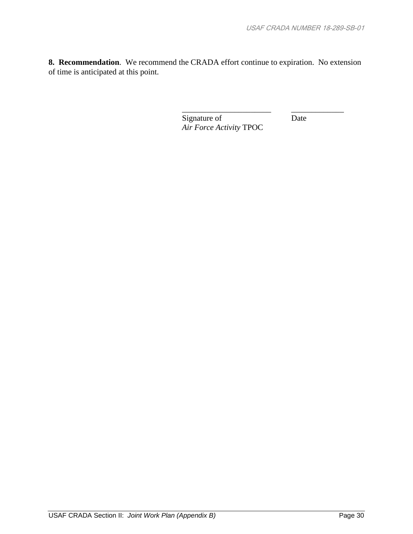**8. Recommendation**. We recommend the CRADA effort continue to expiration. No extension of time is anticipated at this point.

> Signature of Date *Air Force Activity* TPOC

\_\_\_\_\_\_\_\_\_\_\_\_\_\_\_\_\_\_\_\_\_\_ \_\_\_\_\_\_\_\_\_\_\_\_\_